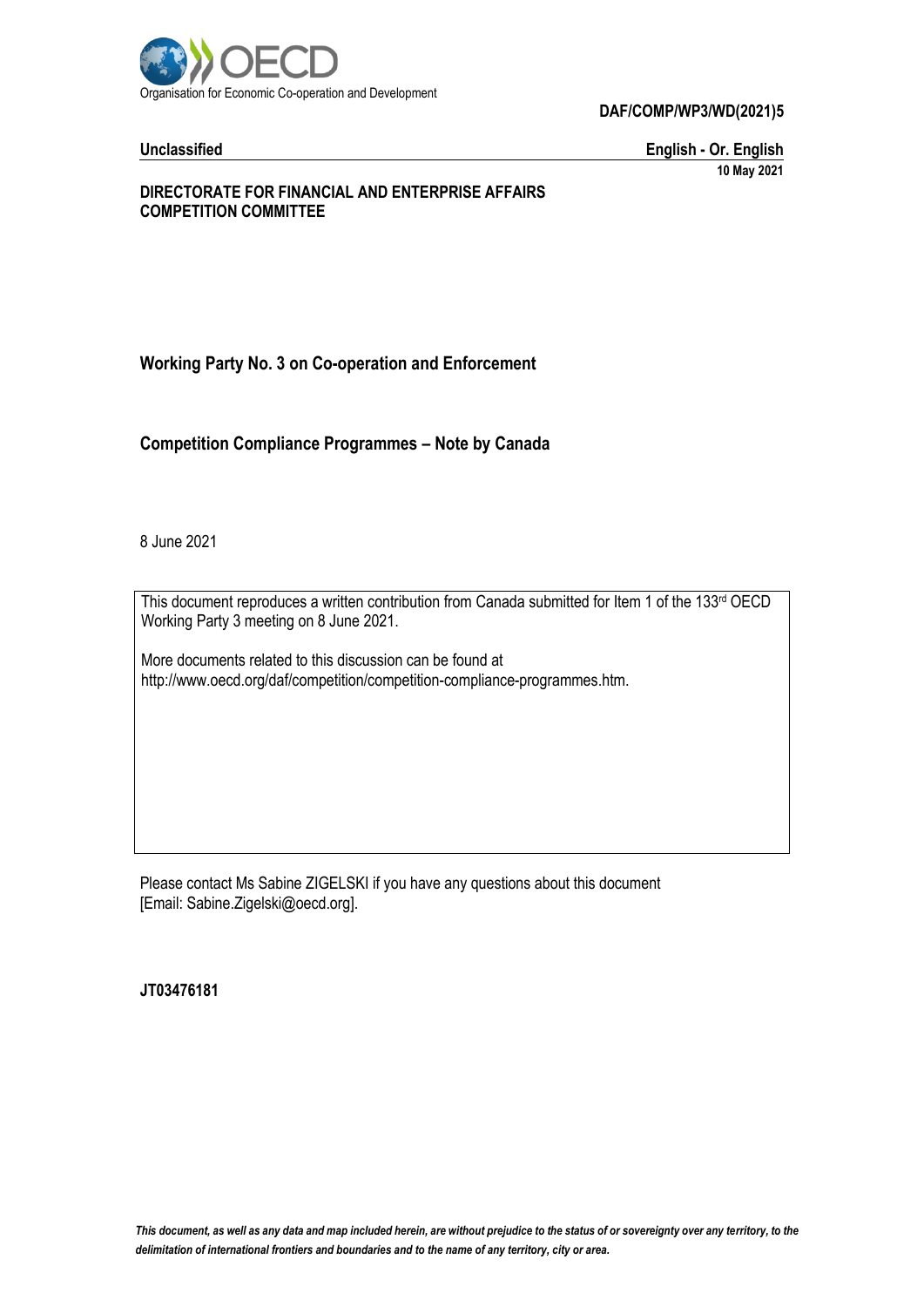

**DAF/COMP/WP3/WD(2021)5**

**Unclassified English - Or. English 10 May 2021**

#### **DIRECTORATE FOR FINANCIAL AND ENTERPRISE AFFAIRS COMPETITION COMMITTEE**

## **Working Party No. 3 on Co-operation and Enforcement**

**Competition Compliance Programmes – Note by Canada**

8 June 2021

This document reproduces a written contribution from Canada submitted for Item 1 of the 133rd OECD Working Party 3 meeting on 8 June 2021.

More documents related to this discussion can be found at http://www.oecd.org/daf/competition/competition-compliance-programmes.htm.

Please contact Ms Sabine ZIGELSKI if you have any questions about this document [Email: Sabine.Zigelski@oecd.org].

**JT03476181**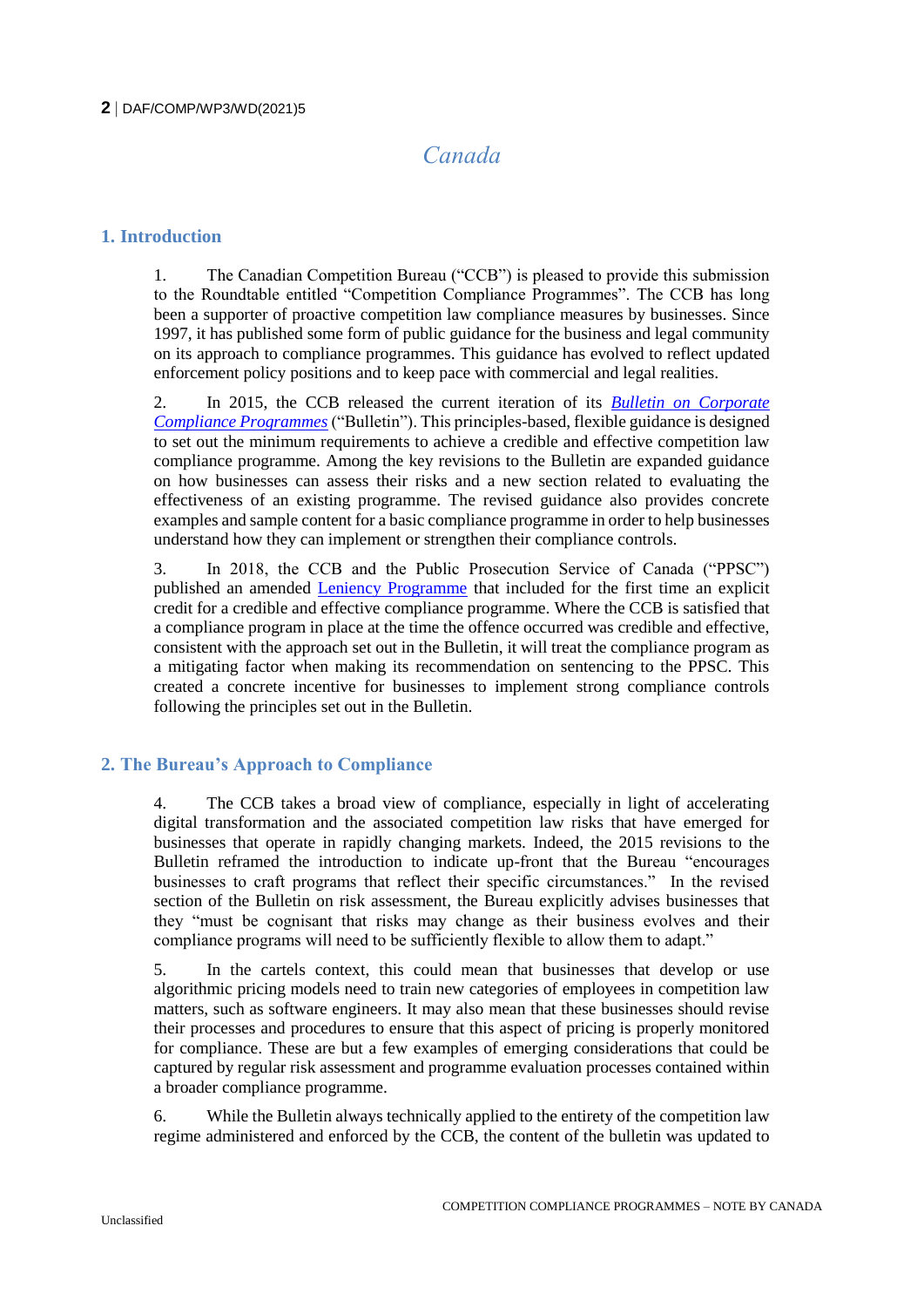# *Canada*

#### **1. Introduction**

1. The Canadian Competition Bureau ("CCB") is pleased to provide this submission to the Roundtable entitled "Competition Compliance Programmes". The CCB has long been a supporter of proactive competition law compliance measures by businesses. Since 1997, it has published some form of public guidance for the business and legal community on its approach to compliance programmes. This guidance has evolved to reflect updated enforcement policy positions and to keep pace with commercial and legal realities.

2. In 2015, the CCB released the current iteration of its *[Bulletin on Corporate](https://www.competitionbureau.gc.ca/eic/site/cb-bc.nsf/eng/03927.html)  [Compliance Programmes](https://www.competitionbureau.gc.ca/eic/site/cb-bc.nsf/eng/03927.html)* ("Bulletin"). This principles-based, flexible guidance is designed to set out the minimum requirements to achieve a credible and effective competition law compliance programme. Among the key revisions to the Bulletin are expanded guidance on how businesses can assess their risks and a new section related to evaluating the effectiveness of an existing programme. The revised guidance also provides concrete examples and sample content for a basic compliance programme in order to help businesses understand how they can implement or strengthen their compliance controls.

3. In 2018, the CCB and the Public Prosecution Service of Canada ("PPSC") published an amended [Leniency Programme](https://www.competitionbureau.gc.ca/eic/site/cb-bc.nsf/eng/04391.html) that included for the first time an explicit credit for a credible and effective compliance programme. Where the CCB is satisfied that a compliance program in place at the time the offence occurred was credible and effective, consistent with the approach set out in the Bulletin, it will treat the compliance program as a mitigating factor when making its recommendation on sentencing to the PPSC. This created a concrete incentive for businesses to implement strong compliance controls following the principles set out in the Bulletin.

# **2. The Bureau's Approach to Compliance**

4. The CCB takes a broad view of compliance, especially in light of accelerating digital transformation and the associated competition law risks that have emerged for businesses that operate in rapidly changing markets. Indeed, the 2015 revisions to the Bulletin reframed the introduction to indicate up-front that the Bureau "encourages businesses to craft programs that reflect their specific circumstances." In the revised section of the Bulletin on risk assessment, the Bureau explicitly advises businesses that they "must be cognisant that risks may change as their business evolves and their compliance programs will need to be sufficiently flexible to allow them to adapt."

5. In the cartels context, this could mean that businesses that develop or use algorithmic pricing models need to train new categories of employees in competition law matters, such as software engineers. It may also mean that these businesses should revise their processes and procedures to ensure that this aspect of pricing is properly monitored for compliance. These are but a few examples of emerging considerations that could be captured by regular risk assessment and programme evaluation processes contained within a broader compliance programme.

6. While the Bulletin always technically applied to the entirety of the competition law regime administered and enforced by the CCB, the content of the bulletin was updated to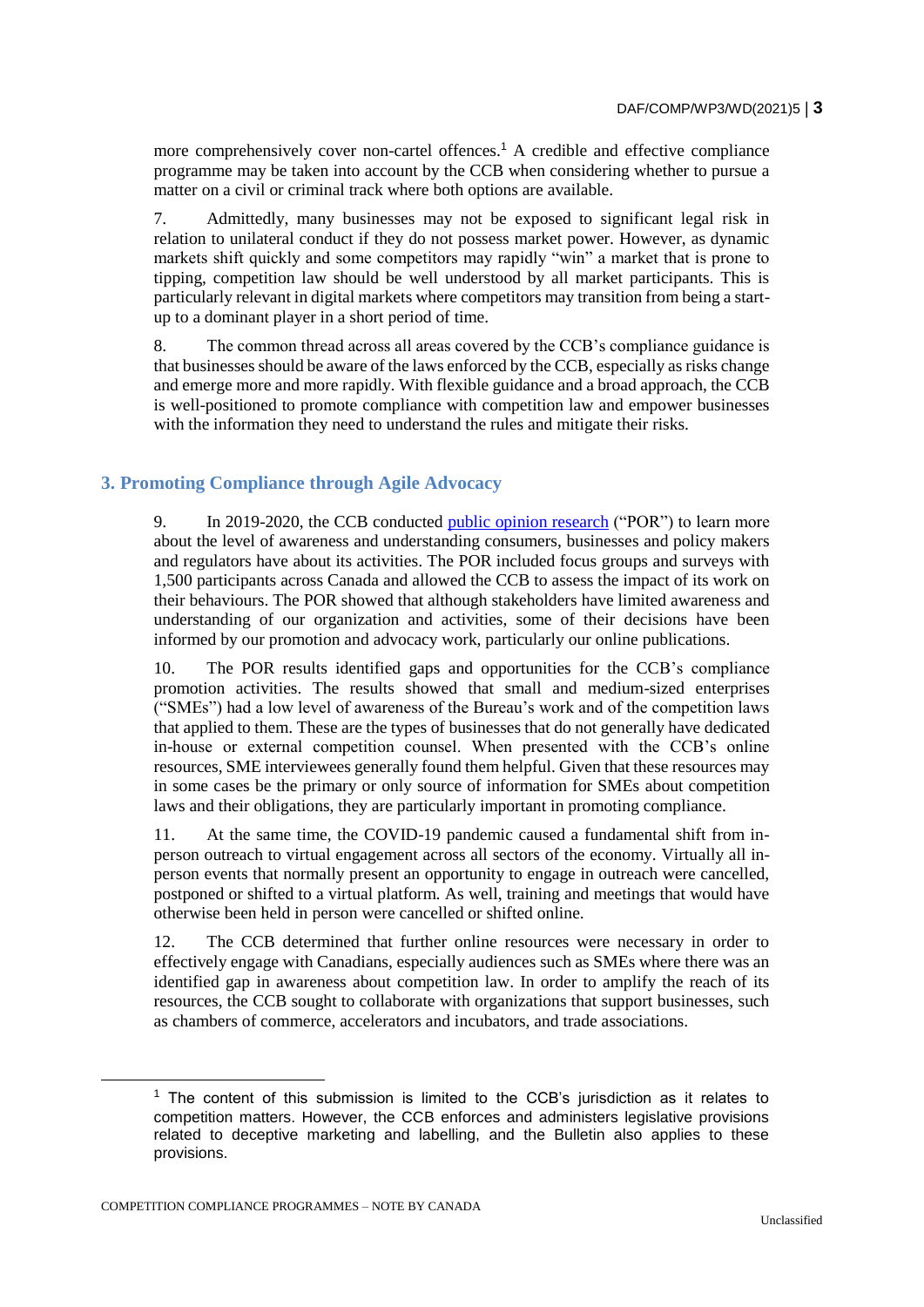more comprehensively cover non-cartel offences.<sup>1</sup> A credible and effective compliance programme may be taken into account by the CCB when considering whether to pursue a matter on a civil or criminal track where both options are available.

7. Admittedly, many businesses may not be exposed to significant legal risk in relation to unilateral conduct if they do not possess market power. However, as dynamic markets shift quickly and some competitors may rapidly "win" a market that is prone to tipping, competition law should be well understood by all market participants. This is particularly relevant in digital markets where competitors may transition from being a startup to a dominant player in a short period of time.

8. The common thread across all areas covered by the CCB's compliance guidance is that businesses should be aware of the laws enforced by the CCB, especially as risks change and emerge more and more rapidly. With flexible guidance and a broad approach, the CCB is well-positioned to promote compliance with competition law and empower businesses with the information they need to understand the rules and mitigate their risks.

## **3. Promoting Compliance through Agile Advocacy**

9. In 2019-2020, the CCB conducted [public opinion research](https://epe.lac-bac.gc.ca/100/200/301/pwgsc-tpsgc/por-ef/innovation_science_economic_development_canada/2021/006-19-e/report.pdf) ("POR") to learn more about the level of awareness and understanding consumers, businesses and policy makers and regulators have about its activities. The POR included focus groups and surveys with 1,500 participants across Canada and allowed the CCB to assess the impact of its work on their behaviours. The POR showed that although stakeholders have limited awareness and understanding of our organization and activities, some of their decisions have been informed by our promotion and advocacy work, particularly our online publications.

10. The POR results identified gaps and opportunities for the CCB's compliance promotion activities. The results showed that small and medium-sized enterprises ("SMEs") had a low level of awareness of the Bureau's work and of the competition laws that applied to them. These are the types of businesses that do not generally have dedicated in-house or external competition counsel. When presented with the CCB's online resources, SME interviewees generally found them helpful. Given that these resources may in some cases be the primary or only source of information for SMEs about competition laws and their obligations, they are particularly important in promoting compliance.

11. At the same time, the COVID-19 pandemic caused a fundamental shift from inperson outreach to virtual engagement across all sectors of the economy. Virtually all inperson events that normally present an opportunity to engage in outreach were cancelled, postponed or shifted to a virtual platform. As well, training and meetings that would have otherwise been held in person were cancelled or shifted online.

12. The CCB determined that further online resources were necessary in order to effectively engage with Canadians, especially audiences such as SMEs where there was an identified gap in awareness about competition law. In order to amplify the reach of its resources, the CCB sought to collaborate with organizations that support businesses, such as chambers of commerce, accelerators and incubators, and trade associations.

 $1$  The content of this submission is limited to the CCB's jurisdiction as it relates to competition matters. However, the CCB enforces and administers legislative provisions related to deceptive marketing and labelling, and the Bulletin also applies to these provisions.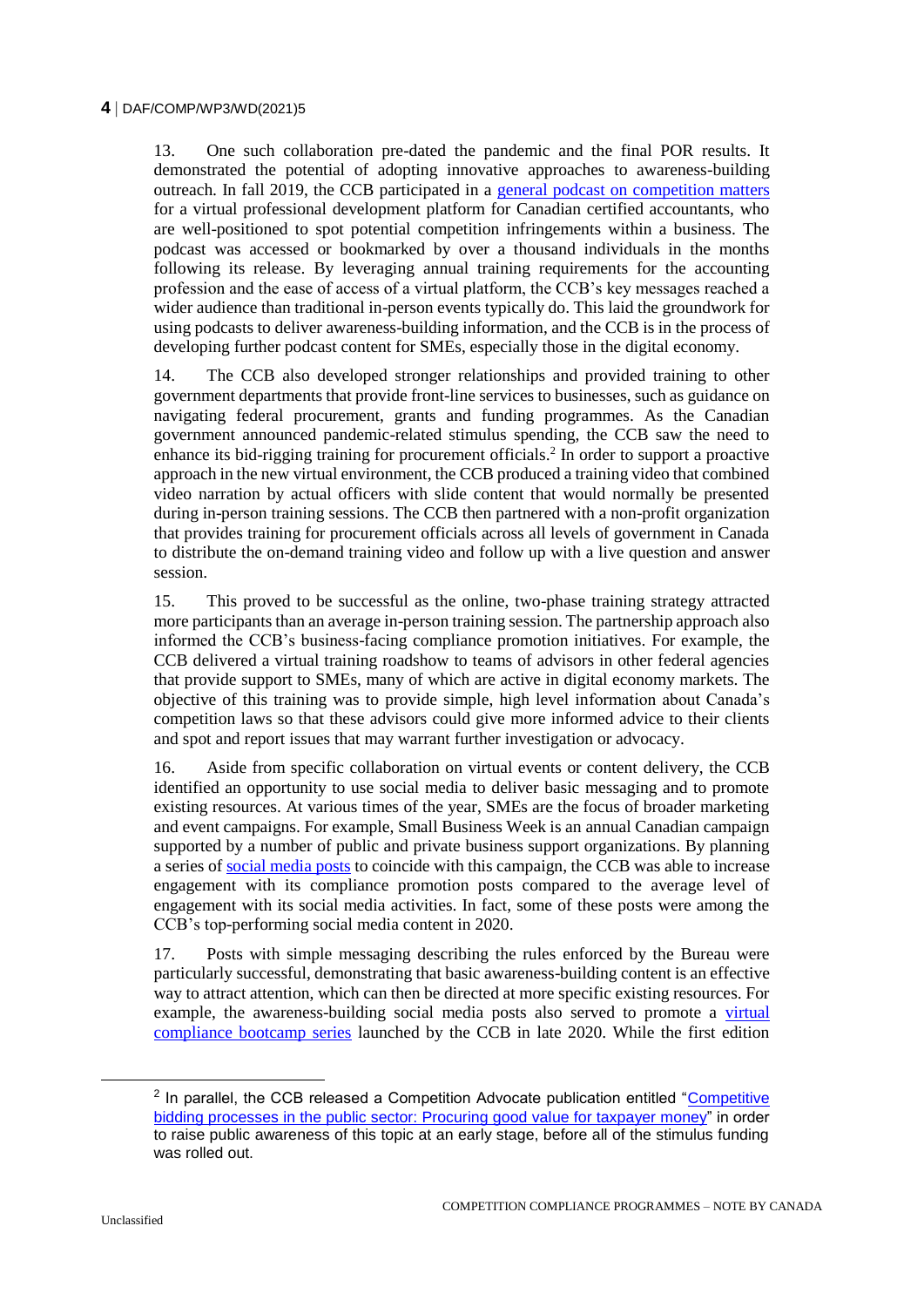13. One such collaboration pre-dated the pandemic and the final POR results. It demonstrated the potential of adopting innovative approaches to awareness-building outreach. In fall 2019, the CCB participated in a [general podcast on competition matters](https://lumiq.luminari.co/episodes/2Q79xT9eZoXTF2ZY4wx4) for a virtual professional development platform for Canadian certified accountants, who are well-positioned to spot potential competition infringements within a business. The podcast was accessed or bookmarked by over a thousand individuals in the months following its release. By leveraging annual training requirements for the accounting profession and the ease of access of a virtual platform, the CCB's key messages reached a wider audience than traditional in-person events typically do. This laid the groundwork for using podcasts to deliver awareness-building information, and the CCB is in the process of developing further podcast content for SMEs, especially those in the digital economy.

14. The CCB also developed stronger relationships and provided training to other government departments that provide front-line services to businesses, such as guidance on navigating federal procurement, grants and funding programmes. As the Canadian government announced pandemic-related stimulus spending, the CCB saw the need to enhance its bid-rigging training for procurement officials.<sup>2</sup> In order to support a proactive approach in the new virtual environment, the CCB produced a training video that combined video narration by actual officers with slide content that would normally be presented during in-person training sessions. The CCB then partnered with a non-profit organization that provides training for procurement officials across all levels of government in Canada to distribute the on-demand training video and follow up with a live question and answer session.

15. This proved to be successful as the online, two-phase training strategy attracted more participants than an average in-person training session. The partnership approach also informed the CCB's business-facing compliance promotion initiatives. For example, the CCB delivered a virtual training roadshow to teams of advisors in other federal agencies that provide support to SMEs, many of which are active in digital economy markets. The objective of this training was to provide simple, high level information about Canada's competition laws so that these advisors could give more informed advice to their clients and spot and report issues that may warrant further investigation or advocacy.

16. Aside from specific collaboration on virtual events or content delivery, the CCB identified an opportunity to use social media to deliver basic messaging and to promote existing resources. At various times of the year, SMEs are the focus of broader marketing and event campaigns. For example, Small Business Week is an annual Canadian campaign supported by a number of public and private business support organizations. By planning a series of [social media posts](https://twitter.com/CompBureau/status/1319370224446164992?s=20) to coincide with this campaign, the CCB was able to increase engagement with its compliance promotion posts compared to the average level of engagement with its social media activities. In fact, some of these posts were among the CCB's top-performing social media content in 2020.

17. Posts with simple messaging describing the rules enforced by the Bureau were particularly successful, demonstrating that basic awareness-building content is an effective way to attract attention, which can then be directed at more specific existing resources. For example, the awareness-building social media posts also served to promote a [virtual](https://www.competitionbureau.gc.ca/eic/site/cb-bc.nsf/eng/h_04565.html)  [compliance bootcamp series](https://www.competitionbureau.gc.ca/eic/site/cb-bc.nsf/eng/h_04565.html) launched by the CCB in late 2020. While the first edition

<sup>&</sup>lt;sup>2</sup> In parallel, the CCB released a Competition Advocate publication entitled "Competitive [bidding processes in the public sector: Procuring good value for taxpayer money"](https://www.competitionbureau.gc.ca/eic/site/cb-bc.nsf/eng/04575.html) in order to raise public awareness of this topic at an early stage, before all of the stimulus funding was rolled out.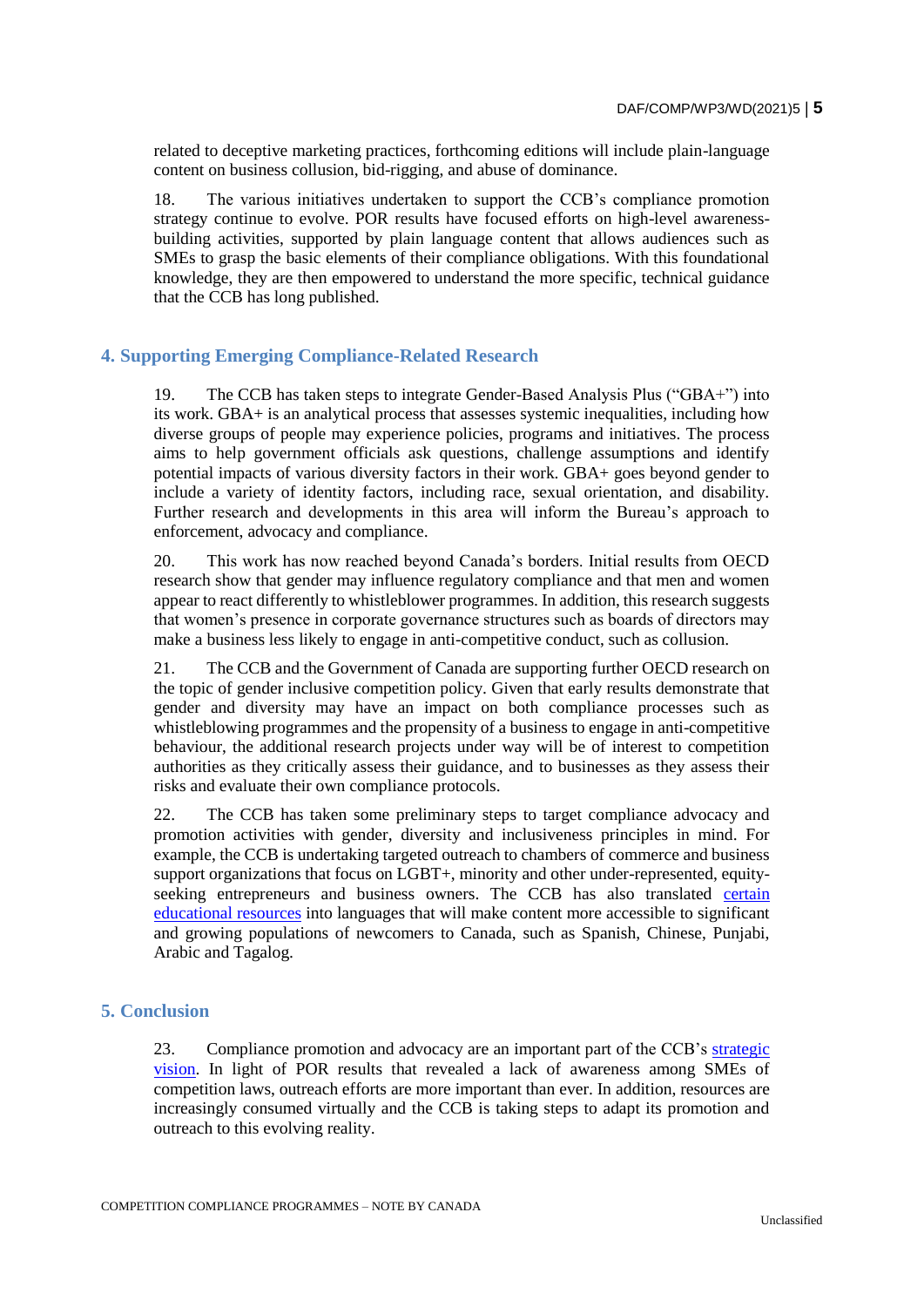related to deceptive marketing practices, forthcoming editions will include plain-language content on business collusion, bid-rigging, and abuse of dominance.

18. The various initiatives undertaken to support the CCB's compliance promotion strategy continue to evolve. POR results have focused efforts on high-level awarenessbuilding activities, supported by plain language content that allows audiences such as SMEs to grasp the basic elements of their compliance obligations. With this foundational knowledge, they are then empowered to understand the more specific, technical guidance that the CCB has long published.

## **4. Supporting Emerging Compliance-Related Research**

19. The CCB has taken steps to integrate Gender-Based Analysis Plus ("GBA+") into its work. GBA+ is an analytical process that assesses systemic inequalities, including how diverse groups of people may experience policies, programs and initiatives. The process aims to help government officials ask questions, challenge assumptions and identify potential impacts of various diversity factors in their work. GBA+ goes beyond gender to include a variety of identity factors, including race, sexual orientation, and disability. Further research and developments in this area will inform the Bureau's approach to enforcement, advocacy and compliance.

20. This work has now reached beyond Canada's borders. Initial results from OECD research show that gender may influence regulatory compliance and that men and women appear to react differently to whistleblower programmes. In addition, this research suggests that women's presence in corporate governance structures such as boards of directors may make a business less likely to engage in anti-competitive conduct, such as collusion.

21. The CCB and the Government of Canada are supporting further OECD research on the topic of gender inclusive competition policy. Given that early results demonstrate that gender and diversity may have an impact on both compliance processes such as whistleblowing programmes and the propensity of a business to engage in anti-competitive behaviour, the additional research projects under way will be of interest to competition authorities as they critically assess their guidance, and to businesses as they assess their risks and evaluate their own compliance protocols.

22. The CCB has taken some preliminary steps to target compliance advocacy and promotion activities with gender, diversity and inclusiveness principles in mind. For example, the CCB is undertaking targeted outreach to chambers of commerce and business support organizations that focus on LGBT+, minority and other under-represented, equityseeking entrepreneurs and business owners. The CCB has also translated [certain](https://www.competitionbureau.gc.ca/eic/site/cb-bc.nsf/eng/04333.html)  [educational resources](https://www.competitionbureau.gc.ca/eic/site/cb-bc.nsf/eng/04333.html) into languages that will make content more accessible to significant and growing populations of newcomers to Canada, such as Spanish, Chinese, Punjabi, Arabic and Tagalog.

#### **5. Conclusion**

23. Compliance promotion and advocacy are an important part of the CCB's [strategic](https://www.competitionbureau.gc.ca/eic/site/cb-bc.nsf/eng/04513.html)  [vision.](https://www.competitionbureau.gc.ca/eic/site/cb-bc.nsf/eng/04513.html) In light of POR results that revealed a lack of awareness among SMEs of competition laws, outreach efforts are more important than ever. In addition, resources are increasingly consumed virtually and the CCB is taking steps to adapt its promotion and outreach to this evolving reality.